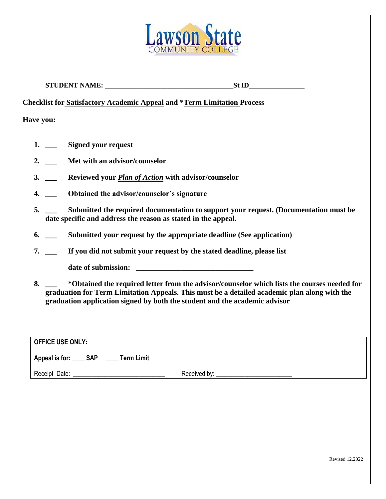

**STUDENT NAME: \_\_\_\_\_\_\_\_\_\_\_\_\_\_\_\_\_\_\_\_\_\_\_\_\_\_\_\_\_\_\_\_\_\_\_\_\_St ID\_\_\_\_\_\_\_\_\_\_\_\_\_\_\_\_** 

**Checklist for Satisfactory Academic Appeal and \*Term Limitation Process**

**Have you:**

- **1. \_\_\_ Signed your request**
- **2. \_\_\_ Met with an advisor/counselor**
- **3. \_\_\_ Reviewed your** *Plan of Action* **with advisor/counselor**
- **4. \_\_\_ Obtained the advisor/counselor's signature**
- **5. \_\_\_ Submitted the required documentation to support your request. (Documentation must be date specific and address the reason as stated in the appeal.**
- **6. \_\_\_ Submitted your request by the appropriate deadline (See application)**
- **7. \_\_\_ If you did not submit your request by the stated deadline, please list**

date of submission:

**8. \_\_\_ \*Obtained the required letter from the advisor/counselor which lists the courses needed for graduation for Term Limitation Appeals. This must be a detailed academic plan along with the graduation application signed by both the student and the academic advisor**

| OFFICE USE ONLY:                              |              |
|-----------------------------------------------|--------------|
| Appeal is for: _____ SAP<br><b>Term Limit</b> |              |
| Receipt Date:                                 | Received by: |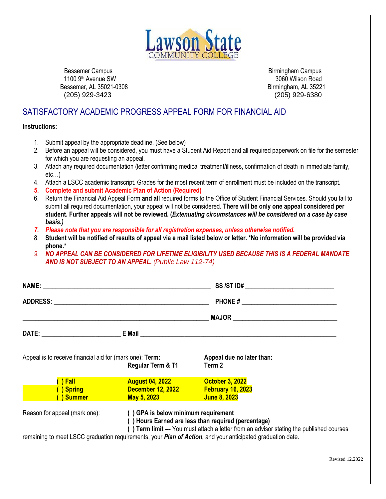

Bessemer Campus **Birmingham Campus** Birmingham Campus **Birmingham Campus** 1100 9th Avenue SW 3060 Wilson Road Bessemer, AL 35021-0308 Birmingham, AL 35221 (205) 929-3423 (205) 929-6380

Revised 12.2022

# SATISFACTORY ACADEMIC PROGRESS APPEAL FORM FOR FINANCIAL AID

**Instructions:**

- 1. Submit appeal by the appropriate deadline. (See below)
- 2. Before an appeal will be considered, you must have a Student Aid Report and all required paperwork on file for the semester for which you are requesting an appeal.
- 3. Attach any required documentation (letter confirming medical treatment/illness, confirmation of death in immediate family, etc…)
- 4. Attach a LSCC academic transcript. Grades for the most recent term of enrollment must be included on the transcript.
- **5. Complete and submit Academic Plan of Action (Required)**
- 6. Return the Financial Aid Appeal Form **and all** required forms to the Office of Student Financial Services. Should you fail to submit all required documentation, your appeal will not be considered. **There will be only one appeal considered per student. Further appeals will not be reviewed. (***Extenuating circumstances will be considered on a case by case basis.)*
- *7. Please note that you are responsible for all registration expenses, unless otherwise notified.*
- 8. **Student will be notified of results of appeal via e mail listed below or letter. \*No information will be provided via phone.\***
- *9. NO APPEAL CAN BE CONSIDERED FOR LIFETIME ELIGIBILITY USED BECAUSE THIS IS A FEDERAL MANDATE AND IS NOT SUBJECT TO AN APPEAL. (Public Law 112-74)*

| Appeal is to receive financial aid for (mark one): Term:                                                | Regular Term & T1                                                                                          | Appeal due no later than:<br>Term 2                                                                                                             |
|---------------------------------------------------------------------------------------------------------|------------------------------------------------------------------------------------------------------------|-------------------------------------------------------------------------------------------------------------------------------------------------|
| <b>The Second Second Second Second Second</b><br><b>Spring Community Spring</b><br><b>Summer Summer</b> | <b>August 04, 2022 August 04, 2022</b><br>December 12, 2022 February 16, 2023<br><b>May 5, 2023 May 19</b> | <b>October 3, 2022</b><br>June 8, 2023                                                                                                          |
| Reason for appeal (mark one):                                                                           | () GPA is below minimum requirement                                                                        | () Hours Earned are less than required (percentage)<br>() Term limit --- You must attach a letter from an advisor stating the published courses |
|                                                                                                         |                                                                                                            | remaining to meet LSCC graduation requirements, your Plan of Action, and your anticipated graduation date.                                      |
|                                                                                                         |                                                                                                            | Revised 12                                                                                                                                      |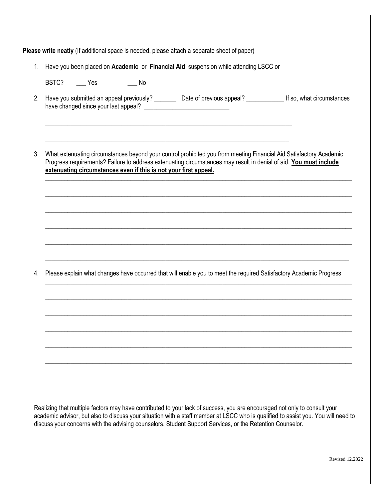| $1_{\cdot}$ |           |                                                                  | Have you been placed on <b>Academic</b> or <b>Financial Aid</b> suspension while attending LSCC or                                                                                                                                      |  |
|-------------|-----------|------------------------------------------------------------------|-----------------------------------------------------------------------------------------------------------------------------------------------------------------------------------------------------------------------------------------|--|
|             | BSTC? Nes | $\_\_$ No                                                        |                                                                                                                                                                                                                                         |  |
| 2.          |           |                                                                  | Have you submitted an appeal previously? _________ Date of previous appeal? _____________ If so, what circumstances                                                                                                                     |  |
| 3.          |           | extenuating circumstances even if this is not your first appeal. | What extenuating circumstances beyond your control prohibited you from meeting Financial Aid Satisfactory Academic<br>Progress requirements? Failure to address extenuating circumstances may result in denial of aid. You must include |  |
|             |           |                                                                  |                                                                                                                                                                                                                                         |  |
|             |           |                                                                  |                                                                                                                                                                                                                                         |  |
|             |           |                                                                  |                                                                                                                                                                                                                                         |  |
|             |           |                                                                  |                                                                                                                                                                                                                                         |  |
| 4.          |           |                                                                  | Please explain what changes have occurred that will enable you to meet the required Satisfactory Academic Progress                                                                                                                      |  |
|             |           |                                                                  |                                                                                                                                                                                                                                         |  |
|             |           |                                                                  |                                                                                                                                                                                                                                         |  |
|             |           |                                                                  |                                                                                                                                                                                                                                         |  |
|             |           |                                                                  |                                                                                                                                                                                                                                         |  |
|             |           |                                                                  |                                                                                                                                                                                                                                         |  |
|             |           |                                                                  |                                                                                                                                                                                                                                         |  |
|             |           |                                                                  |                                                                                                                                                                                                                                         |  |
|             |           |                                                                  | Realizing that multiple factors may have contributed to your lack of success, you are encouraged not only to consult your                                                                                                               |  |

Revised 12.2022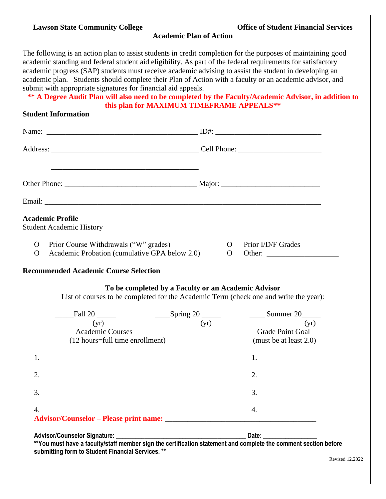#### **Lawson State Community College**

|  |  | <b>Office of Student Financial Services</b> |  |
|--|--|---------------------------------------------|--|
|--|--|---------------------------------------------|--|

**Academic Plan of Action**

The following is an action plan to assist students in credit completion for the purposes of maintaining good academic standing and federal student aid eligibility. As part of the federal requirements for satisfactory academic progress (SAP) students must receive academic advising to assist the student in developing an academic plan. Students should complete their Plan of Action with a faculty or an academic advisor, and submit with appropriate signatures for financial aid appeals.

**\*\* A Degree Audit Plan will also need to be completed by the Faculty/Academic Advisor, in addition to this plan for MAXIMUM TIMEFRAME APPEALS\*\***

# **Student Information**

| <b>Academic Profile</b><br><b>Student Academic History</b>                                                         |                                                                                                                                              |
|--------------------------------------------------------------------------------------------------------------------|----------------------------------------------------------------------------------------------------------------------------------------------|
| Prior Course Withdrawals ("W" grades)<br>$\mathbf{O}$<br>Academic Probation (cumulative GPA below 2.0)<br>$\Omega$ | Prior I/D/F Grades<br>$\Omega$<br>$\overline{O}$                                                                                             |
| <b>Recommended Academic Course Selection</b>                                                                       |                                                                                                                                              |
|                                                                                                                    | To be completed by a Faculty or an Academic Advisor<br>List of courses to be completed for the Academic Term (check one and write the year): |
| $_F$ Fall 20<br>(yr)<br><b>Academic Courses</b><br>(12 hours=full time enrollment)                                 | $\frac{1}{2}$ Summer 20<br>(yr)<br>(yr)<br><b>Grade Point Goal</b><br>(must be at least 2.0)                                                 |
| 1.                                                                                                                 | 1.                                                                                                                                           |
| 2.                                                                                                                 | 2.                                                                                                                                           |
| 3.                                                                                                                 | 3.                                                                                                                                           |
| $\overline{4}$ .                                                                                                   | 4.                                                                                                                                           |
| <b>Advisor/Counselor Signature:</b>                                                                                | Date:                                                                                                                                        |

**\*\*You must have a faculty/staff member sign the certification statement and complete the comment section before submitting form to Student Financial Services. \*\***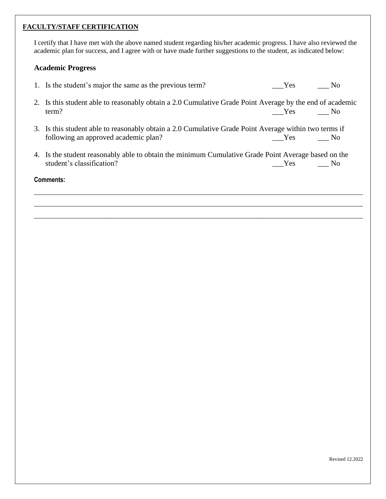#### **FACULTY/STAFF CERTIFICATION**

I certify that I have met with the above named student regarding his/her academic progress. I have also reviewed the academic plan for success, and I agree with or have made further suggestions to the student, as indicated below:

# **Academic Progress**

|                  | 1. Is the student's major the same as the previous term?                                                                                      | Yes | N <sub>0</sub> |  |
|------------------|-----------------------------------------------------------------------------------------------------------------------------------------------|-----|----------------|--|
|                  | 2. Is this student able to reasonably obtain a 2.0 Cumulative Grade Point Average by the end of academic<br>term?                             | Yes | No.            |  |
|                  | 3. Is this student able to reasonably obtain a 2.0 Cumulative Grade Point Average within two terms if<br>following an approved academic plan? | Yes | No.            |  |
|                  | 4. Is the student reasonably able to obtain the minimum Cumulative Grade Point Average based on the<br>student's classification?              | Yes | No.            |  |
| <b>Comments:</b> |                                                                                                                                               |     |                |  |
|                  |                                                                                                                                               |     |                |  |

\_\_\_\_\_\_\_\_\_\_\_\_\_\_\_\_\_\_\_\_\_\_\_\_\_\_\_\_\_\_\_\_\_\_\_\_\_\_\_\_\_\_\_\_\_\_\_\_\_\_\_\_\_\_\_\_\_\_\_\_\_\_\_\_\_\_\_\_\_\_\_\_\_\_\_\_\_\_\_\_\_\_\_\_\_\_\_\_\_\_\_\_\_\_\_\_\_\_\_\_\_\_\_\_

Revised 12.2022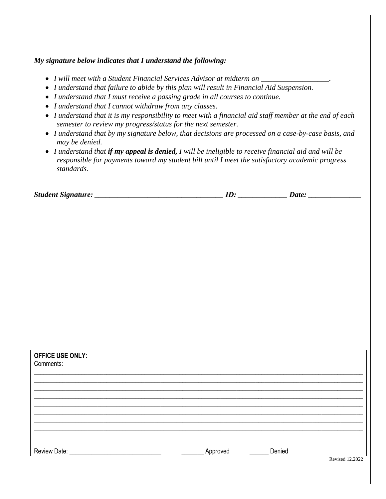# *My signature below indicates that I understand the following:*

- *I will meet with a Student Financial Services Advisor at midterm on \_\_\_\_\_\_\_\_\_\_\_\_\_\_\_\_\_\_.*
- *I understand that failure to abide by this plan will result in Financial Aid Suspension.*
- *I understand that I must receive a passing grade in all courses to continue.*
- *I understand that I cannot withdraw from any classes.*
- *I understand that it is my responsibility to meet with a financial aid staff member at the end of each semester to review my progress/status for the next semester.*
- *I understand that by my signature below, that decisions are processed on a case-by-case basis, and may be denied.*
- *I understand that if my appeal is denied, I will be ineligible to receive financial aid and will be responsible for payments toward my student bill until I meet the satisfactory academic progress standards.*

*Student Signature: ID: <i>Date: Date: Date: Date: <i>Date: Date: <i>Dete: Dete: Date: D* 

| <b>OFFICE USE ONLY:</b><br>Comments: |          |        |                        |
|--------------------------------------|----------|--------|------------------------|
|                                      |          |        |                        |
|                                      |          |        |                        |
|                                      |          |        |                        |
|                                      |          |        |                        |
|                                      |          |        |                        |
| Review Date: _                       | Approved | Denied |                        |
|                                      |          |        | <b>Revised 12.2022</b> |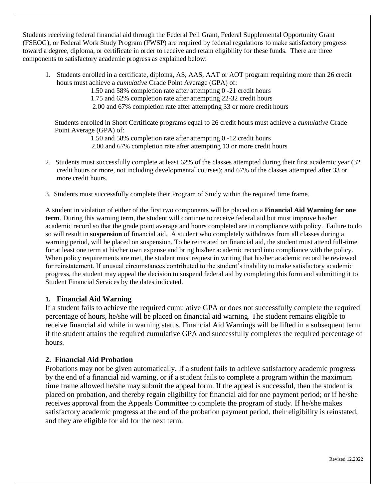Students receiving federal financial aid through the Federal Pell Grant, Federal Supplemental Opportunity Grant (FSEOG), or Federal Work Study Program (FWSP) are required by federal regulations to make satisfactory progress toward a degree, diploma, or certificate in order to receive and retain eligibility for these funds. There are three components to satisfactory academic progress as explained below:

1. Students enrolled in a certificate, diploma, AS, AAS, AAT or AOT program requiring more than 26 credit hours must achieve a *cumulative* Grade Point Average (GPA) of:

1.50 and 58% completion rate after attempting 0 -21 credit hours

1.75 and 62% completion rate after attempting 22-32 credit hours

2.00 and 67% completion rate after attempting 33 or more credit hours

Students enrolled in Short Certificate programs equal to 26 credit hours must achieve a *cumulative* Grade Point Average (GPA) of:

1.50 and 58% completion rate after attempting 0 -12 credit hours

- 2.00 and 67% completion rate after attempting 13 or more credit hours
- 2. Students must successfully complete at least 62% of the classes attempted during their first academic year (32 credit hours or more, not including developmental courses); and 67% of the classes attempted after 33 or more credit hours.
- 3. Students must successfully complete their Program of Study within the required time frame.

A student in violation of either of the first two components will be placed on a **Financial Aid Warning for one term**. During this warning term, the student will continue to receive federal aid but must improve his/her academic record so that the grade point average and hours completed are in compliance with policy. Failure to do so will result in **suspension** of financial aid. A student who completely withdraws from all classes during a warning period, will be placed on suspension. To be reinstated on financial aid, the student must attend full-time for at least one term at his/her own expense and bring his/her academic record into compliance with the policy. When policy requirements are met, the student must request in writing that his/her academic record be reviewed for reinstatement. If unusual circumstances contributed to the student's inability to make satisfactory academic progress, the student may appeal the decision to suspend federal aid by completing this form and submitting it to Student Financial Services by the dates indicated.

# **1. Financial Aid Warning**

If a student fails to achieve the required cumulative GPA or does not successfully complete the required percentage of hours, he/she will be placed on financial aid warning. The student remains eligible to receive financial aid while in warning status. Financial Aid Warnings will be lifted in a subsequent term if the student attains the required cumulative GPA and successfully completes the required percentage of hours.

# **2. Financial Aid Probation**

Probations may not be given automatically. If a student fails to achieve satisfactory academic progress by the end of a financial aid warning, or if a student fails to complete a program within the maximum time frame allowed he/she may submit the appeal form. If the appeal is successful, then the student is placed on probation, and thereby regain eligibility for financial aid for one payment period; or if he/she receives approval from the Appeals Committee to complete the program of study. If he/she makes satisfactory academic progress at the end of the probation payment period, their eligibility is reinstated, and they are eligible for aid for the next term.